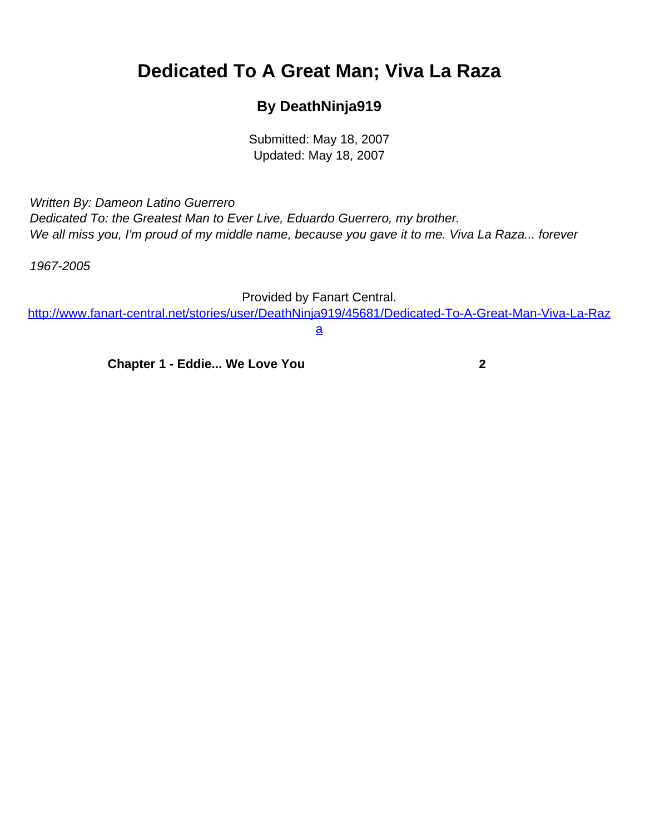## <span id="page-0-0"></span>**Dedicated To A Great Man; Viva La Raza**

## **By DeathNinja919**

Submitted: May 18, 2007 Updated: May 18, 2007

Written By: Dameon Latino Guerrero Dedicated To: the Greatest Man to Ever Live, Eduardo Guerrero, my brother. We all miss you, I'm proud of my middle name, because you gave it to me. Viva La Raza... forever

1967-2005

Provided by Fanart Central.

[http://www.fanart-central.net/stories/user/DeathNinja919/45681/Dedicated-To-A-Great-Man-Viva-La-Raz](#page-0-0)

[a](#page-0-0)

**[Chapter 1 - Eddie... We Love You](#page-1-0) [2](#page-1-0)**